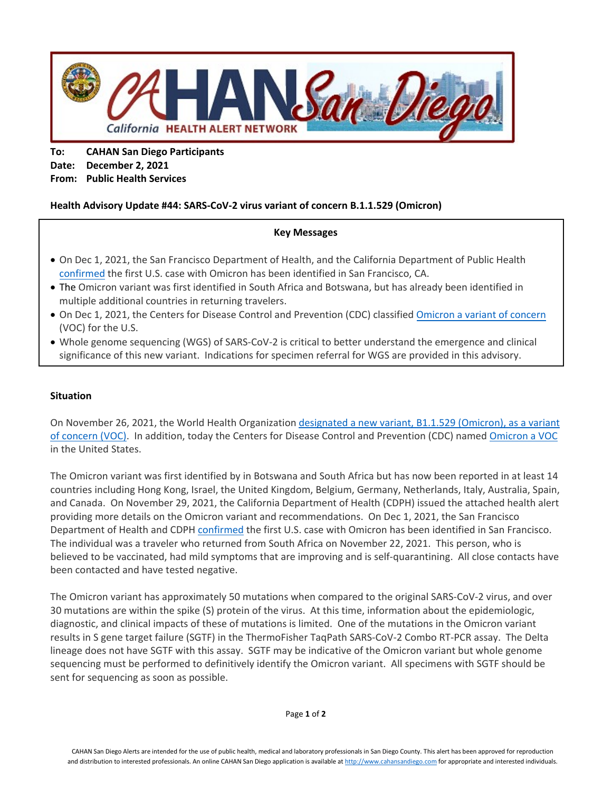

**To: CAHAN San Diego Participants Date: December 2, 2021 From: Public Health Services**

## **Health Advisory Update #44: SARS-CoV-2 virus variant of concern B.1.1.529 (Omicron)**

#### **Key Messages**

- On Dec 1, 2021, the San Francisco Department of Health, and the California Department of Public Health confirmed the first U.S. case with Omicron has been identified in San Francisco, CA.
- The Omicron variant was first identified in South Africa and Botswana, but has already been identified in multiple additional countries in returning travelers.
- On Dec 1, 2021, the Centers for Disease Control and Prevention (CDC) classified Omicron a variant of concern (VOC) for the U.S.
- Whole genome sequencing (WGS) of SARS-CoV-2 is critical to better understand the emergence and clinical significance of this new variant. Indications for specimen referral for WGS are provided in this advisory.

### **Situation**

On November 26, 2021, the World Health Organization designated a new variant, B1.1.529 (Omicron), as a variant of concern (VOC). In addition, today the Centers for Disease Control and Prevention (CDC) named Omicron a VOC in the United States.

The Omicron variant was first identified by in Botswana and South Africa but has now been reported in at least 14 countries including Hong Kong, Israel, the United Kingdom, Belgium, Germany, Netherlands, Italy, Australia, Spain, and Canada. On November 29, 2021, the California Department of Health (CDPH) issued the attached health alert providing more details on the Omicron variant and recommendations. On Dec 1, 2021, the San Francisco Department of Health and CDPH confirmed the first U.S. case with Omicron has been identified in San Francisco. The individual was a traveler who returned from South Africa on November 22, 2021. This person, who is believed to be vaccinated, had mild symptoms that are improving and is self-quarantining. All close contacts have been contacted and have tested negative.

The Omicron variant has approximately 50 mutations when compared to the original SARS-CoV-2 virus, and over 30 mutations are within the spike (S) protein of the virus. At this time, information about the epidemiologic, diagnostic, and clinical impacts of these of mutations is limited. One of the mutations in the Omicron variant results in S gene target failure (SGTF) in the ThermoFisher TaqPath SARS-CoV-2 Combo RT-PCR assay. The Delta lineage does not have SGTF with this assay. SGTF may be indicative of the Omicron variant but whole genome sequencing must be performed to definitively identify the Omicron variant. All specimens with SGTF should be sent for sequencing as soon as possible.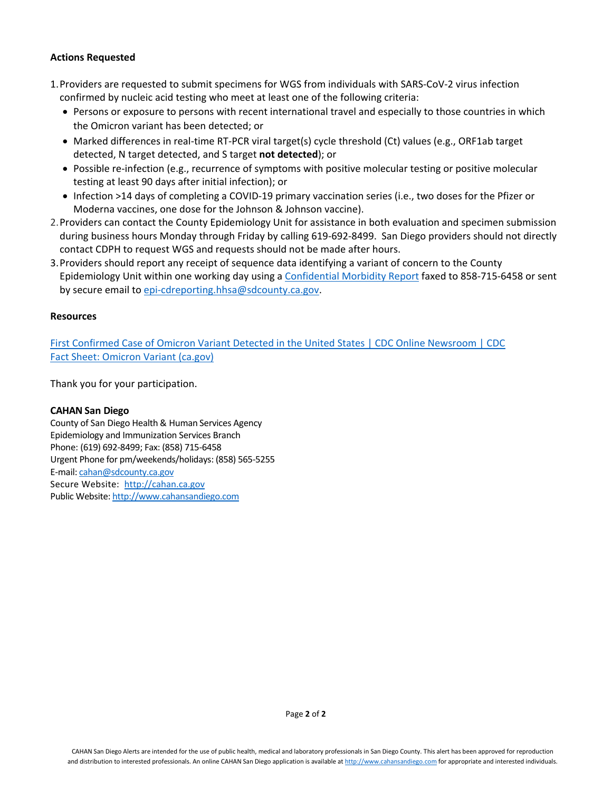### **Actions Requested**

- 1.Providers are requested to submit specimens for WGS from individuals with SARS-CoV-2 virus infection confirmed by nucleic acid testing who meet at least one of the following criteria:
	- Persons or exposure to persons with recent international travel and especially to those countries in which the Omicron variant has been detected; or
	- Marked differences in real-time RT-PCR viral target(s) cycle threshold (Ct) values (e.g., ORF1ab target detected, N target detected, and S target **not detected**); or
	- Possible re-infection (e.g., recurrence of symptoms with positive molecular testing or positive molecular testing at least 90 days after initial infection); or
	- Infection >14 days of completing a COVID-19 primary vaccination series (i.e., two doses for the Pfizer or Moderna vaccines, one dose for the Johnson & Johnson vaccine).
- 2.Providers can contact the County Epidemiology Unit for assistance in both evaluation and specimen submission during business hours Monday through Friday by calling 619-692-8499. San Diego providers should not directly contact CDPH to request WGS and requests should not be made after hours.
- 3.Providers should report any receipt of sequence data identifying a variant of concern to the County Epidemiology Unit within one working day using a [Confidential Morbidity Report](https://www.sandiegocounty.gov/content/dam/sdc/hhsa/programs/phs/documents/CMRa.pdf) faxed to 858-715-6458 or sent by secure email to [epi-cdreporting.hhsa@sdcounty.ca.gov.](mailto:epi-cdreporting.hhsa@sdcounty.ca.gov)

#### **Resources**

[First Confirmed Case of Omicron Variant Detected in the United States | CDC Online Newsroom | CDC](https://www.cdc.gov/media/releases/2021/s1201-omicron-variant.html) [Fact Sheet: Omicron Variant \(ca.gov\)](https://www.cdph.ca.gov/Programs/CID/DCDC/Pages/COVID-19/Omicron-Variant-Fact-Sheet.aspx)

Thank you for your participation.

#### **CAHAN San Diego**

County of San Diego Health & Human Services Agency Epidemiology and Immunization Services Branch Phone: (619) 692-8499; Fax: (858) 715-6458 Urgent Phone for pm/weekends/holidays: (858) 565-5255 E-mail: [cahan@sdcounty.ca.gov](mailto:cahan@sdcounty.ca.gov)  Secure Website: [http://cahan.ca.gov](http://cahan.ca.gov/) Public Website[: http://www.cahansandiego.com](http://www.cahansandiego.com/)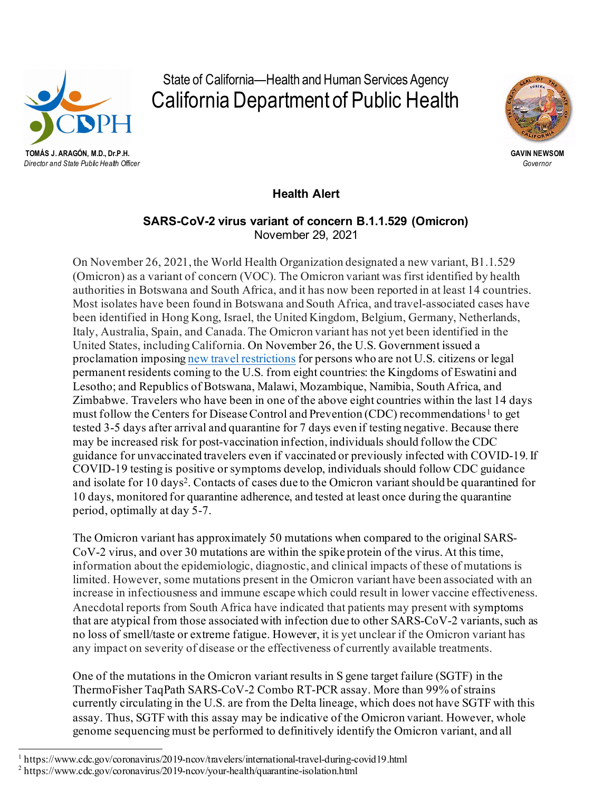

State of California—Health and Human Services Agency California Department of Public Health



*Director and State Public Health Officer Governor*

**Health Alert**

# **SARS-CoV-2 virus variant of concern B.1.1.529 (Omicron)**  November 29, 2021

On November 26, 2021, the World Health Organization designated a new variant, B1.1.529 (Omicron) as a variant of concern (VOC). The Omicron variant was first identified by health authorities in Botswana and South Africa, and it has now been reported in at least 14 countries. Most isolates have been found in Botswana and South Africa, and travel-associated cases have been identified in Hong Kong, Israel, the United Kingdom, Belgium, Germany, Netherlands, Italy, Australia, Spain, and Canada.The Omicron variant has not yet been identified in the United States, including California. On November 26, the U.S. Government issued a proclamation imposin[g new travel restrictions](https://urldefense.com/v3/__https:/www.whitehouse.gov/briefing-room/presidential-actions/2021/11/26/a-proclamation-on-suspension-of-entry-as-immigrants-and-nonimmigrants-of-certain-additional-persons-who-pose-a-risk-of-transmitting-coronavirus-disease-2019/__;!!AvL6XA!jupYWiVs3QAwih0T0U-HjAWLhXHYU17Z_cIN7DJ2UytEX6zitVRrOMO-EpVrm-Cntw4$) for persons who are not U.S. citizens or legal permanent residents coming to the U.S. from eight countries: the Kingdoms of Eswatini and Lesotho; and Republics of Botswana, Malawi, Mozambique, Namibia, South Africa, and Zimbabwe. Travelers who have been in one of the above eight countries within the last 14 days must follow the Centers for Disease Control and Prevention (CDC) recommendations<sup>[1](#page-2-0)</sup> to get tested 3-5 days after arrival and quarantine for 7 days even if testing negative. Because there may be increased risk for post-vaccination infection, individuals should follow the CDC guidance for unvaccinated travelers even if vaccinated or previously infected with COVID-19. If COVID-19 testing is positive or symptoms develop, individuals should follow CDC guidance and isolate for 10 days[2](#page-2-1). Contacts of cases due to the Omicron variant should be quarantined for 10 days, monitored for quarantine adherence, and tested at least once during the quarantine period, optimally at day 5-7.

The Omicron variant has approximately 50 mutations when compared to the original SARS-CoV-2 virus, and over 30 mutations are within the spike protein of the virus. At this time, information about the epidemiologic, diagnostic, and clinical impacts of these of mutations is limited. However, some mutations present in the Omicron variant have been associated with an increase in infectiousness and immune escape which could result in lower vaccine effectiveness. Anecdotal reports from South Africa have indicated that patients may present with symptoms that are atypical from those associated with infection due to other SARS-CoV-2 variants, such as no loss of smell/taste or extreme fatigue. However, it is yet unclear if the Omicron variant has any impact on severity of disease or the effectiveness of currently available treatments.

One of the mutations in the Omicron variant results in S gene target failure (SGTF) in the ThermoFisher TaqPath SARS-CoV-2 Combo RT-PCR assay. More than 99% of strains currently circulating in the U.S. are from the Delta lineage, which does not have SGTF with this assay. Thus, SGTF with this assay may be indicative of the Omicron variant. However, whole genome sequencing must be performed to definitively identify the Omicron variant, and all

<span id="page-2-0"></span><sup>1</sup> https://www.cdc.gov/coronavirus/2019-ncov/travelers/international-travel-during-covid19.html <sup>2</sup> https://www.cdc.gov/coronavirus/2019-ncov/your-health/quarantine-isolation.html

<span id="page-2-1"></span>